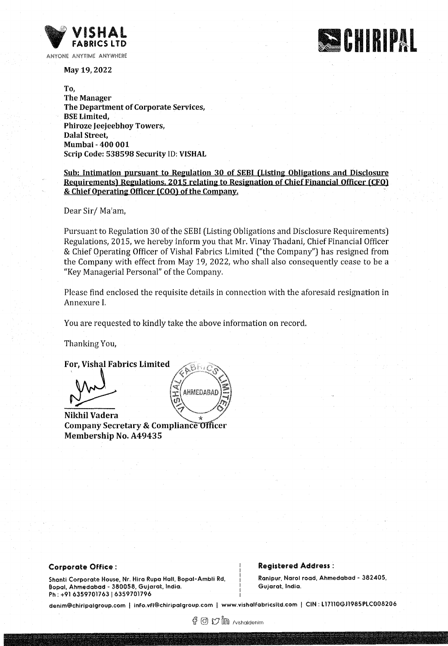

May 19, 2022



**To,**  The Manager The Department of Corporate Services, BSE Limited, Phiroze Jeejeebhoy Towers, Dalal Street, Mumbai - 400 001 Scrip Code: 538598 Security ID: **VISHAL** 

# Sub; Intimation pursuant to Regulation 30 of SEBI (Listing Obligations and Disclosure Requirements) Regulations, 2015 relating to Resignation of Chief Financial Officer (CFO) & Chief Operating Officer (COO) of the Company.

Dear Sir/ Ma'am,

Pursuant to Regulation 30 of the SEBI (Listing Obligations and Disclosure Requirements) Regulations, 2015, we hereby inform you that Mr. Vinay Thadani, Chief Financial Officer & Chief Operating Officer of Vishal Fabrics Limited ("the Company") has resigned from the Company with effect from May 19, 2022, who shall also consequently cease to be a "Key Managerial Personal" of the Company.

Please find enclosed the requisite details in connection with the aforesaid resignation in Annexure I.

You are requested to kindly take the above information on record.

Thanking You,

**For, Vishal Fabrics Limited** 

Nikhil Vadera<br>Company Secretary & Compliance Officer Membership No. A49435

# AHMEDABAD

## **Corporate Office** :

### **Registered Address** :

Shanti Corporate House, Nr. Hira Rupo Holl, Bopol-Ambli Rd, Bopal, Ahmedabad - 380058, Gujarat, India. Ph: +91 6359701763 | 6359701796

Ronipur, Norol rood, Ahmedabod • 382405, Gujarat, Indio.

denim@chirlpolgroup.com I info.vfl®chiripolgroup.com I www.vishotfobrlcsltd.com I CIN: L17110GJ1985PLC008206